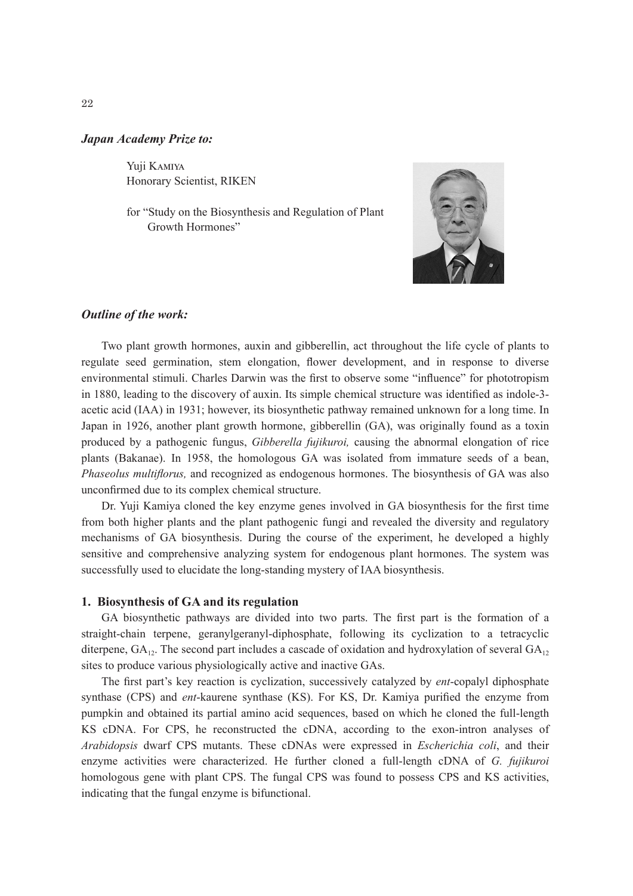### *Japan Academy Prize to:*

Yuji Kamiya Honorary Scientist, RIKEN

for "Study on the Biosynthesis and Regulation of Plant Growth Hormones"



## *Outline of the work:*

Two plant growth hormones, auxin and gibberellin, act throughout the life cycle of plants to regulate seed germination, stem elongation, flower development, and in response to diverse environmental stimuli. Charles Darwin was the first to observe some "influence" for phototropism in 1880, leading to the discovery of auxin. Its simple chemical structure was identified as indole-3 acetic acid (IAA) in 1931; however, its biosynthetic pathway remained unknown for a long time. In Japan in 1926, another plant growth hormone, gibberellin (GA), was originally found as a toxin produced by a pathogenic fungus, *Gibberella fujikuroi,* causing the abnormal elongation of rice plants (Bakanae). In 1958, the homologous GA was isolated from immature seeds of a bean, *Phaseolus multiflorus,* and recognized as endogenous hormones. The biosynthesis of GA was also unconfirmed due to its complex chemical structure.

Dr. Yuji Kamiya cloned the key enzyme genes involved in GA biosynthesis for the first time from both higher plants and the plant pathogenic fungi and revealed the diversity and regulatory mechanisms of GA biosynthesis. During the course of the experiment, he developed a highly sensitive and comprehensive analyzing system for endogenous plant hormones. The system was successfully used to elucidate the long-standing mystery of IAA biosynthesis.

#### **1. Biosynthesis of GA and its regulation**

GA biosynthetic pathways are divided into two parts. The first part is the formation of a straight-chain terpene, geranylgeranyl-diphosphate, following its cyclization to a tetracyclic diterpene,  $GA_{12}$ . The second part includes a cascade of oxidation and hydroxylation of several  $GA_{12}$ sites to produce various physiologically active and inactive GAs.

The first part's key reaction is cyclization, successively catalyzed by *ent*-copalyl diphosphate synthase (CPS) and *ent*-kaurene synthase (KS). For KS, Dr. Kamiya purified the enzyme from pumpkin and obtained its partial amino acid sequences, based on which he cloned the full-length KS cDNA. For CPS, he reconstructed the cDNA, according to the exon-intron analyses of *Arabidopsis* dwarf CPS mutants. These cDNAs were expressed in *Escherichia coli*, and their enzyme activities were characterized. He further cloned a full-length cDNA of *G. fujikuroi* homologous gene with plant CPS. The fungal CPS was found to possess CPS and KS activities, indicating that the fungal enzyme is bifunctional.

22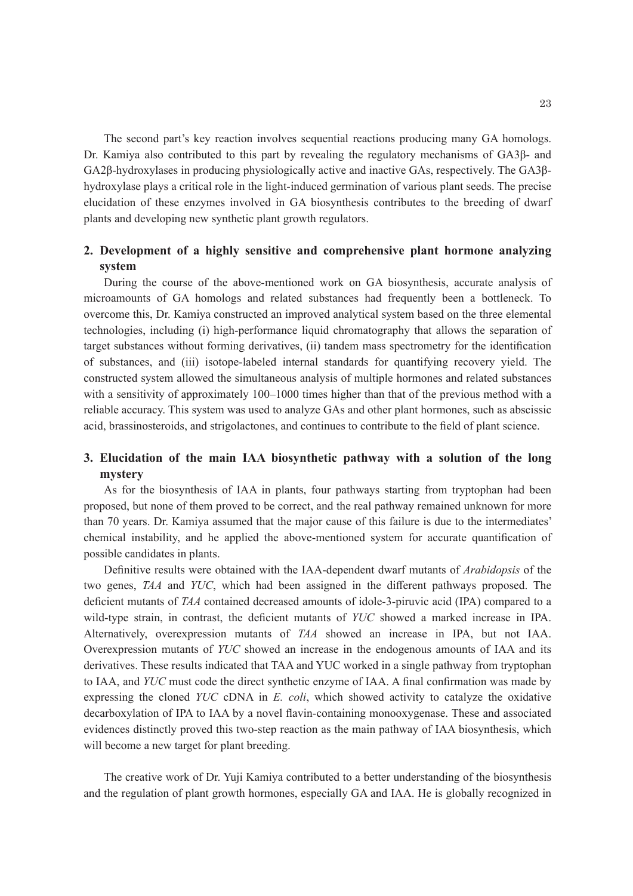The second part's key reaction involves sequential reactions producing many GA homologs. Dr. Kamiya also contributed to this part by revealing the regulatory mechanisms of GA3β- and GA2β-hydroxylases in producing physiologically active and inactive GAs, respectively. The GA3βhydroxylase plays a critical role in the light-induced germination of various plant seeds. The precise elucidation of these enzymes involved in GA biosynthesis contributes to the breeding of dwarf plants and developing new synthetic plant growth regulators.

# **2. Development of a highly sensitive and comprehensive plant hormone analyzing system**

During the course of the above-mentioned work on GA biosynthesis, accurate analysis of microamounts of GA homologs and related substances had frequently been a bottleneck. To overcome this, Dr. Kamiya constructed an improved analytical system based on the three elemental technologies, including (i) high-performance liquid chromatography that allows the separation of target substances without forming derivatives, (ii) tandem mass spectrometry for the identification of substances, and (iii) isotope-labeled internal standards for quantifying recovery yield. The constructed system allowed the simultaneous analysis of multiple hormones and related substances with a sensitivity of approximately 100–1000 times higher than that of the previous method with a reliable accuracy. This system was used to analyze GAs and other plant hormones, such as abscissic acid, brassinosteroids, and strigolactones, and continues to contribute to the field of plant science.

# **3. Elucidation of the main IAA biosynthetic pathway with a solution of the long mystery**

As for the biosynthesis of IAA in plants, four pathways starting from tryptophan had been proposed, but none of them proved to be correct, and the real pathway remained unknown for more than 70 years. Dr. Kamiya assumed that the major cause of this failure is due to the intermediates' chemical instability, and he applied the above-mentioned system for accurate quantification of possible candidates in plants.

Definitive results were obtained with the IAA-dependent dwarf mutants of *Arabidopsis* of the two genes, *TAA* and *YUC*, which had been assigned in the different pathways proposed. The deficient mutants of *TAA* contained decreased amounts of idole-3-piruvic acid (IPA) compared to a wild-type strain, in contrast, the deficient mutants of *YUC* showed a marked increase in IPA. Alternatively, overexpression mutants of *TAA* showed an increase in IPA, but not IAA. Overexpression mutants of *YUC* showed an increase in the endogenous amounts of IAA and its derivatives. These results indicated that TAA and YUC worked in a single pathway from tryptophan to IAA, and *YUC* must code the direct synthetic enzyme of IAA. A final confirmation was made by expressing the cloned *YUC* cDNA in *E. coli*, which showed activity to catalyze the oxidative decarboxylation of IPA to IAA by a novel flavin-containing monooxygenase. These and associated evidences distinctly proved this two-step reaction as the main pathway of IAA biosynthesis, which will become a new target for plant breeding.

The creative work of Dr. Yuji Kamiya contributed to a better understanding of the biosynthesis and the regulation of plant growth hormones, especially GA and IAA. He is globally recognized in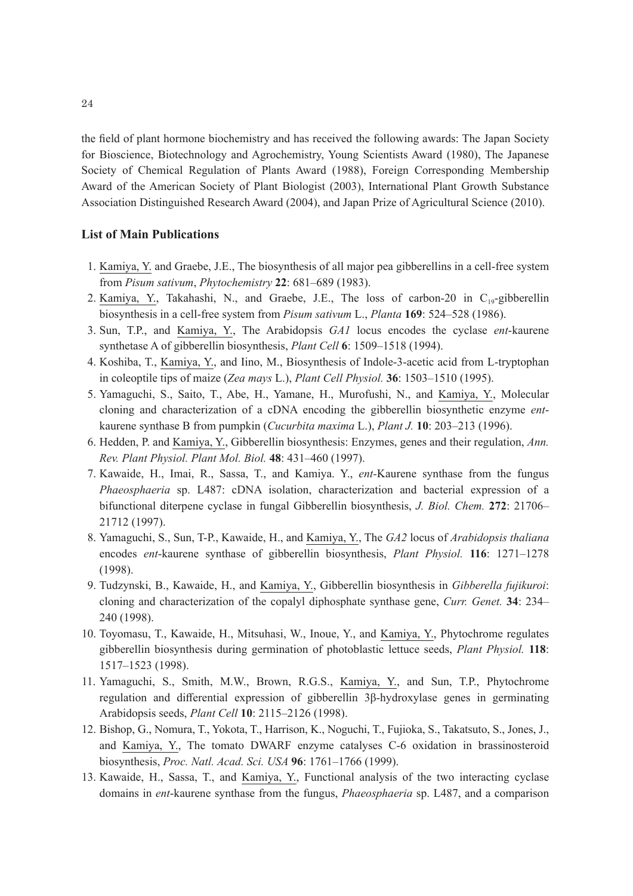the field of plant hormone biochemistry and has received the following awards: The Japan Society for Bioscience, Biotechnology and Agrochemistry, Young Scientists Award (1980), The Japanese Society of Chemical Regulation of Plants Award (1988), Foreign Corresponding Membership Award of the American Society of Plant Biologist (2003), International Plant Growth Substance Association Distinguished Research Award (2004), and Japan Prize of Agricultural Science (2010).

## **List of Main Publications**

- 1. Kamiya, Y. and Graebe, J.E., The biosynthesis of all major pea gibberellins in a cell-free system from *Pisum sativum*, *Phytochemistry* **22**: 681–689 (1983).
- 2. Kamiya, Y., Takahashi, N., and Graebe, J.E., The loss of carbon-20 in  $C_{19}$ -gibberellin biosynthesis in a cell-free system from *Pisum sativum* L., *Planta* **169**: 524–528 (1986).
- 3. Sun, T.P., and Kamiya, Y., The Arabidopsis *GA1* locus encodes the cyclase *ent*-kaurene synthetase A of gibberellin biosynthesis, *Plant Cell* **6**: 1509–1518 (1994).
- 4. Koshiba, T., Kamiya, Y., and Iino, M., Biosynthesis of Indole-3-acetic acid from L-tryptophan in coleoptile tips of maize (*Zea mays* L.), *Plant Cell Physiol.* **36**: 1503–1510 (1995).
- 5. Yamaguchi, S., Saito, T., Abe, H., Yamane, H., Murofushi, N., and Kamiya, Y., Molecular cloning and characterization of a cDNA encoding the gibberellin biosynthetic enzyme *ent*kaurene synthase B from pumpkin (*Cucurbita maxima* L.), *Plant J.* **10**: 203–213 (1996).
- 6. Hedden, P. and Kamiya, Y., Gibberellin biosynthesis: Enzymes, genes and their regulation, *Ann. Rev. Plant Physiol. Plant Mol. Biol.* **48**: 431–460 (1997).
- 7. Kawaide, H., Imai, R., Sassa, T., and Kamiya. Y., *ent-*Kaurene synthase from the fungus *Phaeosphaeria* sp. L487: cDNA isolation, characterization and bacterial expression of a bifunctional diterpene cyclase in fungal Gibberellin biosynthesis, *J. Biol. Chem.* **272**: 21706– 21712 (1997).
- 8. Yamaguchi, S., Sun, T-P., Kawaide, H., and Kamiya, Y., The *GA2* locus of *Arabidopsis thaliana* encodes *ent*-kaurene synthase of gibberellin biosynthesis, *Plant Physiol.* **116**: 1271–1278 (1998).
- 9. Tudzynski, B., Kawaide, H., and Kamiya, Y., Gibberellin biosynthesis in *Gibberella fujikuroi*: cloning and characterization of the copalyl diphosphate synthase gene, *Curr. Genet.* **34**: 234– 240 (1998).
- 10. Toyomasu, T., Kawaide, H., Mitsuhasi, W., Inoue, Y., and Kamiya, Y., Phytochrome regulates gibberellin biosynthesis during germination of photoblastic lettuce seeds, *Plant Physiol.* **118**: 1517–1523 (1998).
- 11. Yamaguchi, S., Smith, M.W., Brown, R.G.S., Kamiya, Y., and Sun, T.P., Phytochrome regulation and differential expression of gibberellin 3β-hydroxylase genes in germinating Arabidopsis seeds, *Plant Cell* **10**: 2115–2126 (1998).
- 12. Bishop, G., Nomura, T., Yokota, T., Harrison, K., Noguchi, T., Fujioka, S., Takatsuto, S., Jones, J., and Kamiya, Y., The tomato DWARF enzyme catalyses C-6 oxidation in brassinosteroid biosynthesis, *Proc. Natl. Acad. Sci. USA* **96**: 1761–1766 (1999).
- 13. Kawaide, H., Sassa, T., and Kamiya, Y., Functional analysis of the two interacting cyclase domains in *ent*-kaurene synthase from the fungus, *Phaeosphaeria* sp. L487, and a comparison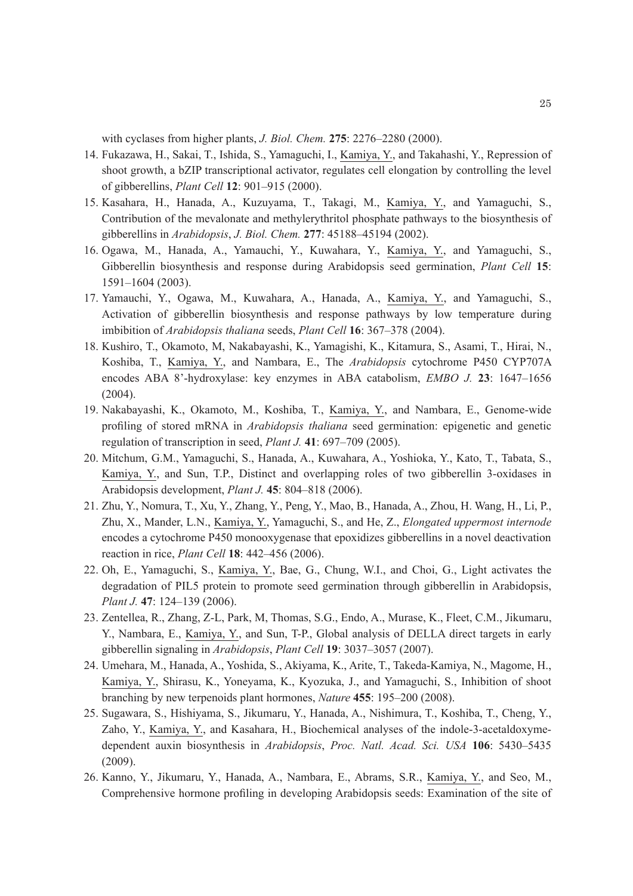with cyclases from higher plants, *J. Biol. Chem.* **275**: 2276–2280 (2000).

- 14. Fukazawa, H., Sakai, T., Ishida, S., Yamaguchi, I., Kamiya, Y., and Takahashi, Y., Repression of shoot growth, a bZIP transcriptional activator, regulates cell elongation by controlling the level of gibberellins, *Plant Cell* **12**: 901–915 (2000).
- 15. Kasahara, H., Hanada, A., Kuzuyama, T., Takagi, M., Kamiya, Y., and Yamaguchi, S., Contribution of the mevalonate and methylerythritol phosphate pathways to the biosynthesis of gibberellins in *Arabidopsis*, *J. Biol. Chem.* **277**: 45188–45194 (2002).
- 16. Ogawa, M., Hanada, A., Yamauchi, Y., Kuwahara, Y., Kamiya, Y., and Yamaguchi, S., Gibberellin biosynthesis and response during Arabidopsis seed germination, *Plant Cell* **15**: 1591–1604 (2003).
- 17. Yamauchi, Y., Ogawa, M., Kuwahara, A., Hanada, A., Kamiya, Y., and Yamaguchi, S., Activation of gibberellin biosynthesis and response pathways by low temperature during imbibition of *Arabidopsis thaliana* seeds, *Plant Cell* **16**: 367–378 (2004).
- 18. Kushiro, T., Okamoto, M, Nakabayashi, K., Yamagishi, K., Kitamura, S., Asami, T., Hirai, N., Koshiba, T., Kamiya, Y., and Nambara, E., The *Arabidopsis* cytochrome P450 CYP707A encodes ABA 8'-hydroxylase: key enzymes in ABA catabolism, *EMBO J.* **23**: 1647–1656 (2004).
- 19. Nakabayashi, K., Okamoto, M., Koshiba, T., Kamiya, Y., and Nambara, E., Genome-wide profiling of stored mRNA in *Arabidopsis thaliana* seed germination: epigenetic and genetic regulation of transcription in seed, *Plant J.* **41**: 697–709 (2005).
- 20. Mitchum, G.M., Yamaguchi, S., Hanada, A., Kuwahara, A., Yoshioka, Y., Kato, T., Tabata, S., Kamiya, Y., and Sun, T.P., Distinct and overlapping roles of two gibberellin 3-oxidases in Arabidopsis development, *Plant J.* **45**: 804–818 (2006).
- 21. Zhu, Y., Nomura, T., Xu, Y., Zhang, Y., Peng, Y., Mao, B., Hanada, A., Zhou, H. Wang, H., Li, P., Zhu, X., Mander, L.N., Kamiya, Y., Yamaguchi, S., and He, Z., *Elongated uppermost internode* encodes a cytochrome P450 monooxygenase that epoxidizes gibberellins in a novel deactivation reaction in rice, *Plant Cell* **18**: 442–456 (2006).
- 22. Oh, E., Yamaguchi, S., Kamiya, Y., Bae, G., Chung, W.I., and Choi, G., Light activates the degradation of PIL5 protein to promote seed germination through gibberellin in Arabidopsis, *Plant J.* **47**: 124–139 (2006).
- 23. Zentellea, R., Zhang, Z-L, Park, M, Thomas, S.G., Endo, A., Murase, K., Fleet, C.M., Jikumaru, Y., Nambara, E., Kamiya, Y., and Sun, T-P., Global analysis of DELLA direct targets in early gibberellin signaling in *Arabidopsis*, *Plant Cell* **19**: 3037–3057 (2007).
- 24. Umehara, M., Hanada, A., Yoshida, S., Akiyama, K., Arite, T., Takeda-Kamiya, N., Magome, H., Kamiya, Y., Shirasu, K., Yoneyama, K., Kyozuka, J., and Yamaguchi, S., Inhibition of shoot branching by new terpenoids plant hormones, *Nature* **455**: 195–200 (2008).
- 25. Sugawara, S., Hishiyama, S., Jikumaru, Y., Hanada, A., Nishimura, T., Koshiba, T., Cheng, Y., Zaho, Y., Kamiya, Y., and Kasahara, H., Biochemical analyses of the indole-3-acetaldoxymedependent auxin biosynthesis in *Arabidopsis*, *Proc. Natl. Acad. Sci. USA* **106**: 5430–5435 (2009).
- 26. Kanno, Y., Jikumaru, Y., Hanada, A., Nambara, E., Abrams, S.R., Kamiya, Y., and Seo, M., Comprehensive hormone profiling in developing Arabidopsis seeds: Examination of the site of